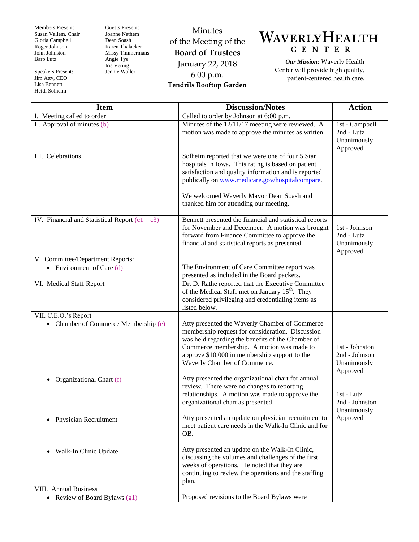Members Present: Susan Vallem, Chair Gloria Campbell Roger Johnson John Johnston Barb Lutz

Speakers Present: Jim Atty, CEO Lisa Bennett Heidi Solheim

Guests Present: Joanne Nathem Dean Soash Karen Thalacker Missy Timmermans Angie Tye Iris Vering Jennie Waller

Minutes of the Meeting of the **Board of Trustees** January 22, 2018 6:00 p.m. **Tendrils Rooftop Garden**



*Our Mission:* Waverly Health Center will provide high quality, patient-centered health care.

| <b>Item</b>                                                     | <b>Discussion/Notes</b>                                                                                                                                                                                                                                                                                 | <b>Action</b>                                           |
|-----------------------------------------------------------------|---------------------------------------------------------------------------------------------------------------------------------------------------------------------------------------------------------------------------------------------------------------------------------------------------------|---------------------------------------------------------|
| I. Meeting called to order                                      | Called to order by Johnson at 6:00 p.m.                                                                                                                                                                                                                                                                 |                                                         |
| II. Approval of minutes (b)                                     | Minutes of the 12/11/17 meeting were reviewed. A<br>motion was made to approve the minutes as written.                                                                                                                                                                                                  | 1st - Campbell<br>2nd - Lutz<br>Unanimously<br>Approved |
| III. Celebrations                                               | Solheim reported that we were one of four 5 Star<br>hospitals in Iowa. This rating is based on patient<br>satisfaction and quality information and is reported<br>publically on www.medicare.gov/hospitalcompare.<br>We welcomed Waverly Mayor Dean Soash and<br>thanked him for attending our meeting. |                                                         |
| IV. Financial and Statistical Report $(c1 - c3)$                | Bennett presented the financial and statistical reports<br>for November and December. A motion was brought<br>forward from Finance Committee to approve the<br>financial and statistical reports as presented.                                                                                          | 1st - Johnson<br>2nd - Lutz<br>Unanimously<br>Approved  |
| V. Committee/Department Reports:<br>• Environment of Care $(d)$ | The Environment of Care Committee report was<br>presented as included in the Board packets.                                                                                                                                                                                                             |                                                         |
| VI. Medical Staff Report                                        | Dr. D. Rathe reported that the Executive Committee<br>of the Medical Staff met on January 15 <sup>th</sup> . They<br>considered privileging and credentialing items as<br>listed below.                                                                                                                 |                                                         |
| VII. C.E.O.'s Report<br>• Chamber of Commerce Membership (e)    | Atty presented the Waverly Chamber of Commerce<br>membership request for consideration. Discussion<br>was held regarding the benefits of the Chamber of<br>Commerce membership. A motion was made to<br>approve \$10,000 in membership support to the<br>Waverly Chamber of Commerce.                   | 1st - Johnston<br>2nd - Johnson<br>Unanimously          |
| Organizational Chart (f)                                        | Atty presented the organizational chart for annual<br>review. There were no changes to reporting<br>relationships. A motion was made to approve the<br>organizational chart as presented.                                                                                                               | Approved<br>1st - Lutz<br>2nd - Johnston<br>Unanimously |
| Physician Recruitment                                           | Atty presented an update on physician recruitment to<br>meet patient care needs in the Walk-In Clinic and for<br>OB.                                                                                                                                                                                    | Approved                                                |
| Walk-In Clinic Update<br>$\bullet$                              | Atty presented an update on the Walk-In Clinic,<br>discussing the volumes and challenges of the first<br>weeks of operations. He noted that they are<br>continuing to review the operations and the staffing<br>plan.                                                                                   |                                                         |
| VIII. Annual Business                                           |                                                                                                                                                                                                                                                                                                         |                                                         |
| • Review of Board Bylaws (g1)                                   | Proposed revisions to the Board Bylaws were                                                                                                                                                                                                                                                             |                                                         |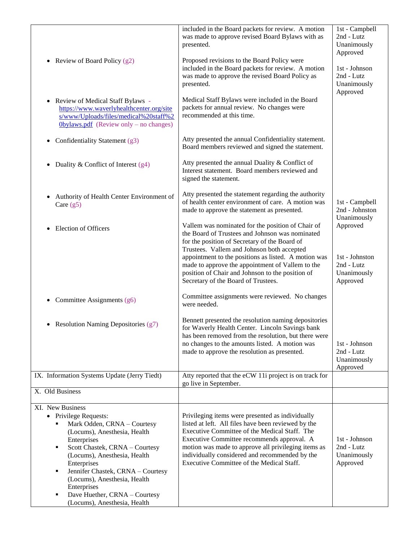|                                                                                                                                                                                                                                                                                         | included in the Board packets for review. A motion<br>was made to approve revised Board Bylaws with as<br>presented.                                                                                                                                                                                                                                                                                       | 1st - Campbell<br>2nd - Lutz<br>Unanimously<br>Approved                            |
|-----------------------------------------------------------------------------------------------------------------------------------------------------------------------------------------------------------------------------------------------------------------------------------------|------------------------------------------------------------------------------------------------------------------------------------------------------------------------------------------------------------------------------------------------------------------------------------------------------------------------------------------------------------------------------------------------------------|------------------------------------------------------------------------------------|
| Review of Board Policy (g2)                                                                                                                                                                                                                                                             | Proposed revisions to the Board Policy were<br>included in the Board packets for review. A motion<br>was made to approve the revised Board Policy as<br>presented.                                                                                                                                                                                                                                         | 1st - Johnson<br>2nd - Lutz<br>Unanimously<br>Approved                             |
| • Review of Medical Staff Bylaws -<br>https://www.waverlyhealthcenter.org/site<br>s/www/Uploads/files/medical%20staff%2<br>$0$ bylaws.pdf (Review only – no changes)                                                                                                                    | Medical Staff Bylaws were included in the Board<br>packets for annual review. No changes were<br>recommended at this time.                                                                                                                                                                                                                                                                                 |                                                                                    |
| Confidentiality Statement (g3)<br>$\bullet$                                                                                                                                                                                                                                             | Atty presented the annual Confidentiality statement.<br>Board members reviewed and signed the statement.                                                                                                                                                                                                                                                                                                   |                                                                                    |
| Duality & Conflict of Interest (g4)                                                                                                                                                                                                                                                     | Atty presented the annual Duality & Conflict of<br>Interest statement. Board members reviewed and<br>signed the statement.                                                                                                                                                                                                                                                                                 |                                                                                    |
| Authority of Health Center Environment of<br>Care $(g5)$                                                                                                                                                                                                                                | Atty presented the statement regarding the authority<br>of health center environment of care. A motion was<br>made to approve the statement as presented.                                                                                                                                                                                                                                                  | 1st - Campbell<br>2nd - Johnston                                                   |
| <b>Election of Officers</b>                                                                                                                                                                                                                                                             | Vallem was nominated for the position of Chair of<br>the Board of Trustees and Johnson was nominated<br>for the position of Secretary of the Board of<br>Trustees. Vallem and Johnson both accepted<br>appointment to the positions as listed. A motion was<br>made to approve the appointment of Vallem to the<br>position of Chair and Johnson to the position of<br>Secretary of the Board of Trustees. | Unanimously<br>Approved<br>1st - Johnston<br>2nd - Lutz<br>Unanimously<br>Approved |
| • Committee Assignments $(g6)$                                                                                                                                                                                                                                                          | Committee assignments were reviewed. No changes<br>were needed.                                                                                                                                                                                                                                                                                                                                            |                                                                                    |
| • Resolution Naming Depositories (g7)                                                                                                                                                                                                                                                   | Bennett presented the resolution naming depositories<br>for Waverly Health Center. Lincoln Savings bank<br>has been removed from the resolution, but there were<br>no changes to the amounts listed. A motion was<br>made to approve the resolution as presented.                                                                                                                                          | 1st - Johnson<br>2nd - Lutz<br>Unanimously<br>Approved                             |
| IX. Information Systems Update (Jerry Tiedt)                                                                                                                                                                                                                                            | Atty reported that the eCW 11i project is on track for<br>go live in September.                                                                                                                                                                                                                                                                                                                            |                                                                                    |
| X. Old Business                                                                                                                                                                                                                                                                         |                                                                                                                                                                                                                                                                                                                                                                                                            |                                                                                    |
| XI. New Business<br>• Privilege Requests:<br>Mark Odden, CRNA - Courtesy<br>(Locums), Anesthesia, Health<br>Enterprises<br>Scott Chastek, CRNA - Courtesy<br>٠<br>(Locums), Anesthesia, Health<br>Enterprises<br>Jennifer Chastek, CRNA - Courtesy<br>٠<br>(Locums), Anesthesia, Health | Privileging items were presented as individually<br>listed at left. All files have been reviewed by the<br>Executive Committee of the Medical Staff. The<br>Executive Committee recommends approval. A<br>motion was made to approve all privileging items as<br>individually considered and recommended by the<br>Executive Committee of the Medical Staff.                                               | 1st - Johnson<br>2nd - Lutz<br>Unanimously<br>Approved                             |
| Enterprises<br>Dave Huether, CRNA - Courtesy<br>(Locums), Anesthesia, Health                                                                                                                                                                                                            |                                                                                                                                                                                                                                                                                                                                                                                                            |                                                                                    |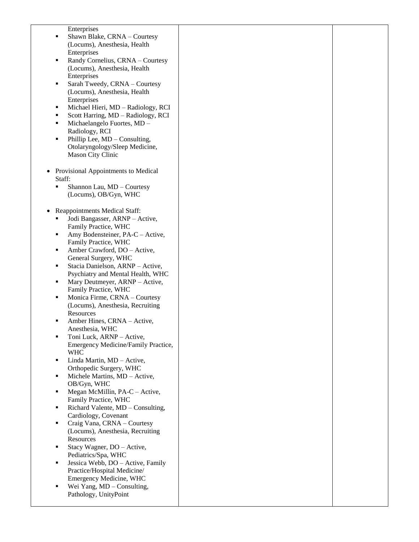| Enterprises                             |  |
|-----------------------------------------|--|
| Shawn Blake, CRNA - Courtesy            |  |
| (Locums), Anesthesia, Health            |  |
| Enterprises                             |  |
| Randy Cornelius, CRNA - Courtesy<br>٠   |  |
| (Locums), Anesthesia, Health            |  |
| Enterprises                             |  |
| Sarah Tweedy, CRNA - Courtesy<br>٠      |  |
| (Locums), Anesthesia, Health            |  |
| Enterprises                             |  |
|                                         |  |
| Michael Hieri, MD - Radiology, RCI<br>٠ |  |
| Scott Harring, MD - Radiology, RCI<br>٠ |  |
| Michaelangelo Fuortes, MD -<br>٠        |  |
| Radiology, RCI                          |  |
| Phillip Lee, MD - Consulting,<br>٠      |  |
| Otolaryngology/Sleep Medicine,          |  |
| Mason City Clinic                       |  |
|                                         |  |
| Provisional Appointments to Medical     |  |
| Staff:                                  |  |
| Shannon Lau, MD - Courtesy<br>٠         |  |
| (Locums), OB/Gyn, WHC                   |  |
|                                         |  |
| Reappointments Medical Staff:           |  |
| Jodi Bangasser, ARNP - Active,          |  |
| Family Practice, WHC                    |  |
| Amy Bodensteiner, PA-C - Active,<br>٠   |  |
| Family Practice, WHC                    |  |
| Amber Crawford, DO - Active,<br>٠       |  |
| General Surgery, WHC                    |  |
| Stacia Danielson, ARNP - Active,<br>٠   |  |
| Psychiatry and Mental Health, WHC       |  |
|                                         |  |
| Mary Deutmeyer, ARNP - Active,<br>٠     |  |
| Family Practice, WHC                    |  |
| Monica Firme, CRNA - Courtesy<br>٠      |  |
| (Locums), Anesthesia, Recruiting        |  |
| Resources                               |  |
| Amber Hines, CRNA - Active,             |  |
| Anesthesia, WHC                         |  |
| Toni Luck, ARNP - Active,               |  |
| Emergency Medicine/Family Practice,     |  |
| <b>WHC</b>                              |  |
| Linda Martin, MD - Active,<br>٠         |  |
| Orthopedic Surgery, WHC                 |  |
| Michele Martins, MD - Active,<br>٠      |  |
| OB/Gyn, WHC                             |  |
| Megan McMillin, PA-C - Active,<br>٠     |  |
| Family Practice, WHC                    |  |
| Richard Valente, MD - Consulting,<br>٠  |  |
| Cardiology, Covenant                    |  |
| Craig Vana, CRNA - Courtesy<br>٠        |  |
| (Locums), Anesthesia, Recruiting        |  |
| Resources                               |  |
| Stacy Wagner, DO - Active,              |  |
| Pediatrics/Spa, WHC                     |  |
| Jessica Webb, DO - Active, Family<br>٠  |  |
| Practice/Hospital Medicine/             |  |
| Emergency Medicine, WHC                 |  |
| Wei Yang, MD - Consulting,              |  |
| Pathology, UnityPoint                   |  |
|                                         |  |
|                                         |  |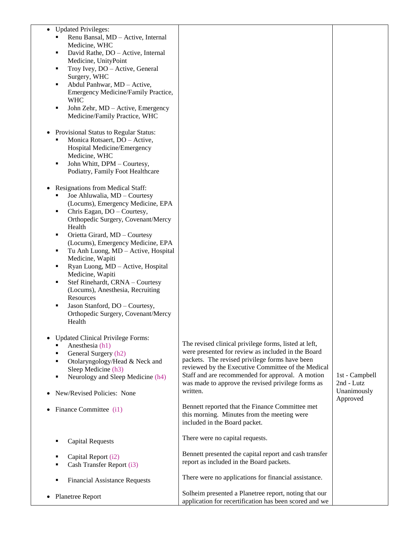| <b>Updated Privileges:</b><br>$\bullet$<br>Renu Bansal, MD - Active, Internal<br>Medicine, WHC<br>David Rathe, DO - Active, Internal<br>٠<br>Medicine, UnityPoint<br>Troy Ivey, DO - Active, General<br>٠<br>Surgery, WHC<br>Abdul Panhwar, MD - Active,<br>٠<br>Emergency Medicine/Family Practice,<br><b>WHC</b><br>John Zehr, MD - Active, Emergency<br>٠<br>Medicine/Family Practice, WHC                                                                                                                                                                                      |                                                                                                                                                                                                                                                                                                                                                                                              |                                                         |
|------------------------------------------------------------------------------------------------------------------------------------------------------------------------------------------------------------------------------------------------------------------------------------------------------------------------------------------------------------------------------------------------------------------------------------------------------------------------------------------------------------------------------------------------------------------------------------|----------------------------------------------------------------------------------------------------------------------------------------------------------------------------------------------------------------------------------------------------------------------------------------------------------------------------------------------------------------------------------------------|---------------------------------------------------------|
| Provisional Status to Regular Status:<br>Monica Rotsaert, DO - Active,<br>Hospital Medicine/Emergency<br>Medicine, WHC<br>John Whitt, DPM - Courtesy,<br>٠<br>Podiatry, Family Foot Healthcare                                                                                                                                                                                                                                                                                                                                                                                     |                                                                                                                                                                                                                                                                                                                                                                                              |                                                         |
| Resignations from Medical Staff:<br>Joe Ahluwalia, MD - Courtesy<br>(Locums), Emergency Medicine, EPA<br>Chris Eagan, DO - Courtesy,<br>٠<br>Orthopedic Surgery, Covenant/Mercy<br>Health<br>Orietta Girard, MD - Courtesy<br>٠<br>(Locums), Emergency Medicine, EPA<br>Tu Anh Luong, MD - Active, Hospital<br>٠<br>Medicine, Wapiti<br>Ryan Luong, MD - Active, Hospital<br>٠<br>Medicine, Wapiti<br>Stef Rinehardt, CRNA - Courtesy<br>٠<br>(Locums), Anesthesia, Recruiting<br>Resources<br>Jason Stanford, DO - Courtesy,<br>٠<br>Orthopedic Surgery, Covenant/Mercy<br>Health |                                                                                                                                                                                                                                                                                                                                                                                              |                                                         |
| <b>Updated Clinical Privilege Forms:</b><br>Anesthesia (h1)<br>General Surgery (h2)<br>Otolaryngology/Head & Neck and<br>Sleep Medicine (h3)<br>Neurology and Sleep Medicine (h4)<br>٠<br>New/Revised Policies: None                                                                                                                                                                                                                                                                                                                                                               | The revised clinical privilege forms, listed at left,<br>were presented for review as included in the Board<br>packets. The revised privilege forms have been<br>reviewed by the Executive Committee of the Medical<br>Staff and are recommended for approval. A motion<br>was made to approve the revised privilege forms as<br>written.<br>Bennett reported that the Finance Committee met | 1st - Campbell<br>2nd - Lutz<br>Unanimously<br>Approved |
| Finance Committee (i1)                                                                                                                                                                                                                                                                                                                                                                                                                                                                                                                                                             | this morning. Minutes from the meeting were<br>included in the Board packet.                                                                                                                                                                                                                                                                                                                 |                                                         |
| <b>Capital Requests</b>                                                                                                                                                                                                                                                                                                                                                                                                                                                                                                                                                            | There were no capital requests.                                                                                                                                                                                                                                                                                                                                                              |                                                         |
| Capital Report (i2)<br>Cash Transfer Report (i3)                                                                                                                                                                                                                                                                                                                                                                                                                                                                                                                                   | Bennett presented the capital report and cash transfer<br>report as included in the Board packets.                                                                                                                                                                                                                                                                                           |                                                         |
| <b>Financial Assistance Requests</b>                                                                                                                                                                                                                                                                                                                                                                                                                                                                                                                                               | There were no applications for financial assistance.                                                                                                                                                                                                                                                                                                                                         |                                                         |
| <b>Planetree Report</b>                                                                                                                                                                                                                                                                                                                                                                                                                                                                                                                                                            | Solheim presented a Planetree report, noting that our<br>application for recertification has been scored and we                                                                                                                                                                                                                                                                              |                                                         |